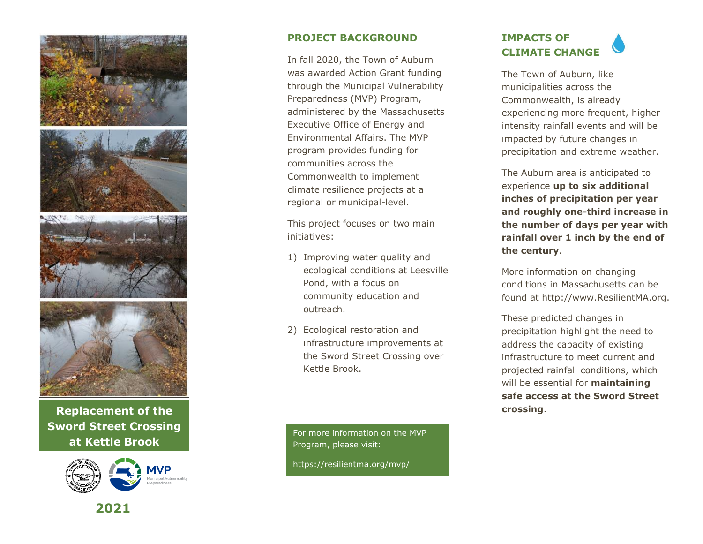

**Replacement of the crossing**. **Sword Street Crossing at Kettle Brook**



## **PROJECT BACKGROUND**

In fall 2020, the Town of Auburn was awarded Action Grant funding through the Municipal Vulnerability Preparedness (MVP) Program, administered by the Massachusetts Executive Office of Energy and Environmental Affairs. The MVP program provides funding for communities across the Commonwealth to implement climate resilience projects at a regional or municipal-level.

This project focuses on two main initiatives:

- 1) Improving water quality and ecological conditions at Leesville Pond, with a focus on community education and outreach.
- 2) Ecological restoration and infrastructure improvements at the Sword Street Crossing over Kettle Brook.

For more information on the MVP Program, please visit:

https://resilientma.org/mvp/

## **IMPACTS OF CLIMATE CHANGE**

The Town of Auburn, like municipalities across the Commonwealth, is already experiencing more frequent, higherintensity rainfall events and will be impacted by future changes in precipitation and extreme weather.

The Auburn area is anticipated to experience **up to six additional inches of precipitation per year and roughly one-third increase in the number of days per year with rainfall over 1 inch by the end of the century**.

More information on changing conditions in Massachusetts can be found at http://www.ResilientMA.org.

These predicted changes in precipitation highlight the need to address the capacity of existing infrastructure to meet current and projected rainfall conditions, which will be essential for **maintaining safe access at the Sword Street**